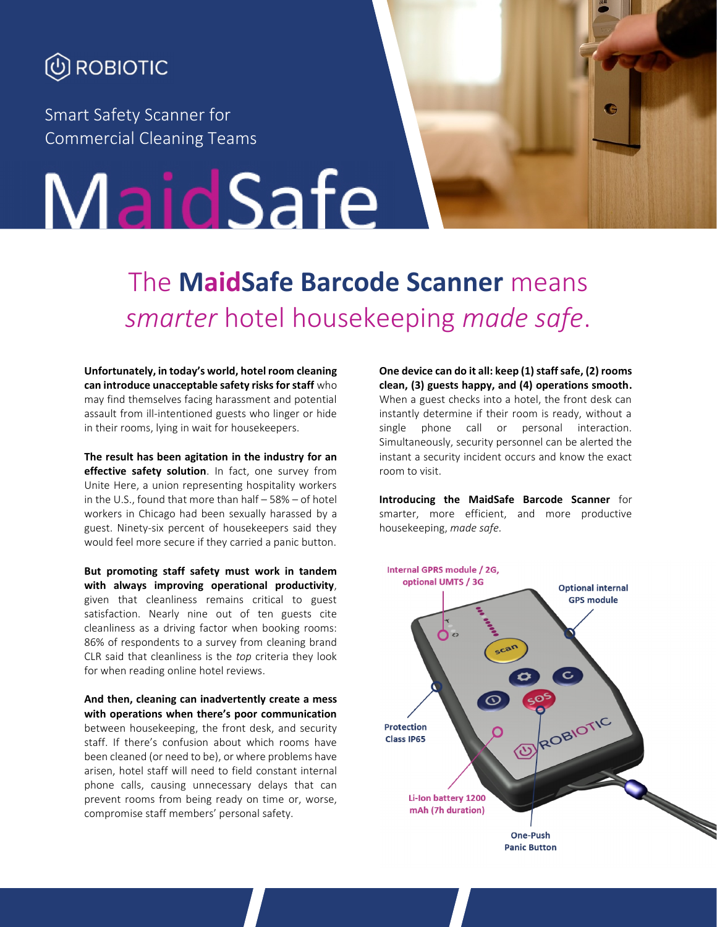

Smart Safety Scanner for Commercial Cleaning Teams

# MaidSafe

## The **MaidSafe Barcode Scanner** means *smarter* hotel housekeeping *made safe*.

**Unfortunately, in today's world, hotel room cleaning can introduce unacceptable safety risks for staff** who may find themselves facing harassment and potential assault from ill-intentioned guests who linger or hide in their rooms, lying in wait for housekeepers.

**The result has been agitation in the industry for an effective safety solution**. In fact, one survey from Unite Here, a union representing hospitality workers in the U.S., found that more than half – 58% – of hotel workers in Chicago had been sexually harassed by a guest. Ninety-six percent of housekeepers said they would feel more secure if they carried a panic button.

**But promoting staff safety must work in tandem** Internal GPRS module / 2G,<br>
with always improving operational productivity optional UMTS / 3G **with always improving operational productivity**, given that cleanliness remains critical to guest satisfaction. Nearly nine out of ten guests cite cleanliness as a driving factor when booking rooms: 86% of respondents to a survey from cleaning brand CLR said that cleanliness is the *top* criteria they look for when reading online hotel reviews.

**And then, cleaning can inadvertently create a mess with operations when there's poor communication** between housekeeping, the front desk, and security staff. If there's confusion about which rooms have been cleaned (or need to be), or where problems have arisen, hotel staff will need to field constant internal phone calls, causing unnecessary delays that can prevent rooms from being ready on time or, worse, compromise staff members' personal safety.

**One device can do it all: keep (1) staff safe, (2) rooms clean, (3) guests happy, and (4) operations smooth.** When a guest checks into a hotel, the front desk can instantly determine if their room is ready, without a single phone call or personal interaction. Simultaneously, security personnel can be alerted the instant a security incident occurs and know the exact room to visit.

G

**Introducing the MaidSafe Barcode Scanner** for smarter, more efficient, and more productive housekeeping, *made safe.*